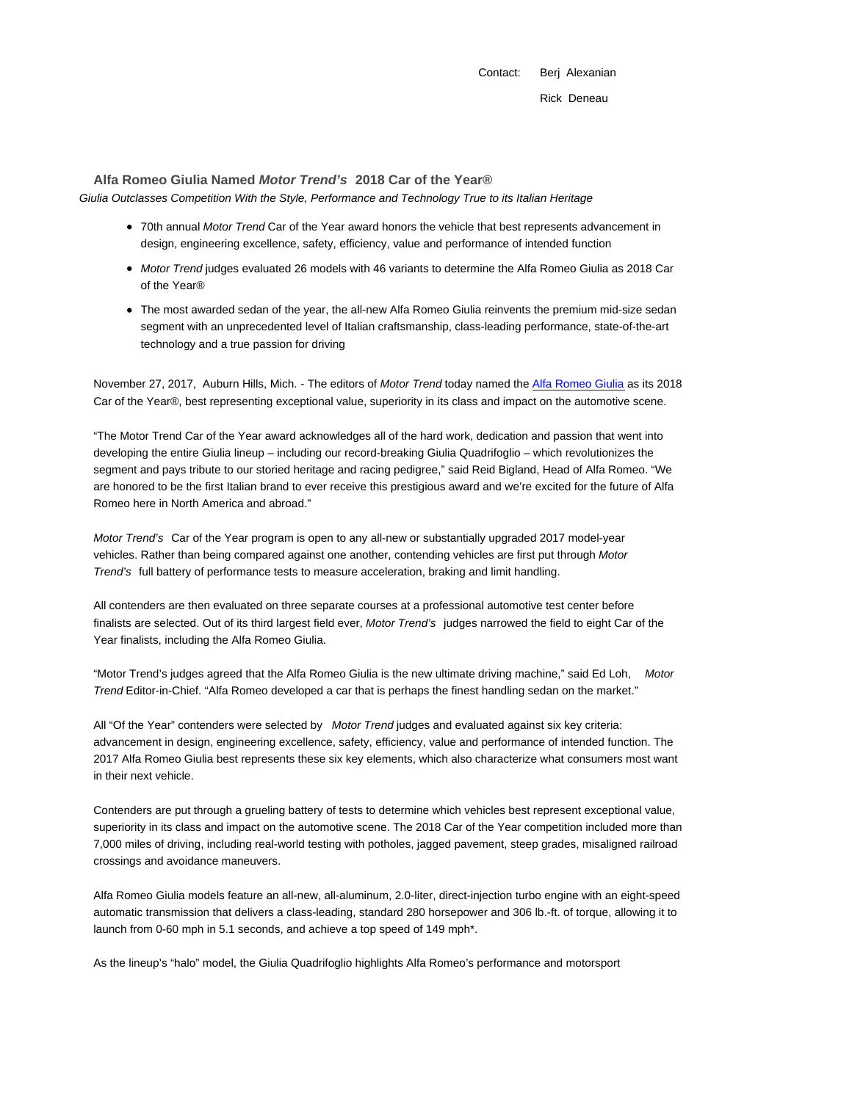Contact: Berj Alexanian Rick Deneau

**Alfa Romeo Giulia Named Motor Trend's 2018 Car of the Year®**

Giulia Outclasses Competition With the Style, Performance and Technology True to its Italian Heritage

- 70th annual Motor Trend Car of the Year award honors the vehicle that best represents advancement in design, engineering excellence, safety, efficiency, value and performance of intended function
- Motor Trend judges evaluated 26 models with 46 variants to determine the Alfa Romeo Giulia as 2018 Car of the Year®
- The most awarded sedan of the year, the all-new Alfa Romeo Giulia reinvents the premium mid-size sedan segment with an unprecedented level of Italian craftsmanship, class-leading performance, state-of-the-art technology and a true passion for driving

November 27, 2017, Auburn Hills, Mich. - The editors of Motor Trend today named the Alfa Romeo Giulia as its 2018 Car of the Year®, best representing exceptional value, superiority in its class and impact on the automotive scene.

"The Motor Trend Car of the Year award acknowledges all of the hard work, dedication and passion that went into developing the entire Giulia lineup – including our record-breaking Giulia Quadrifoglio – which revolutionizes the segment and pays tribute to our storied heritage and racing pedigree," said Reid Bigland, Head of Alfa Romeo. "We are honored to be the first Italian brand to ever receive this prestigious award and we're excited for the future of Alfa Romeo here in North America and abroad."

Motor Trend's Car of the Year program is open to any all-new or substantially upgraded 2017 model-year vehicles. Rather than being compared against one another, contending vehicles are first put through Motor Trend's full battery of performance tests to measure acceleration, braking and limit handling.

All contenders are then evaluated on three separate courses at a professional automotive test center before finalists are selected. Out of its third largest field ever, Motor Trend's judges narrowed the field to eight Car of the Year finalists, including the Alfa Romeo Giulia.

"Motor Trend's judges agreed that the Alfa Romeo Giulia is the new ultimate driving machine," said Ed Loh, Motor Trend Editor-in-Chief. "Alfa Romeo developed a car that is perhaps the finest handling sedan on the market."

All "Of the Year" contenders were selected by Motor Trend judges and evaluated against six key criteria: advancement in design, engineering excellence, safety, efficiency, value and performance of intended function. The 2017 Alfa Romeo Giulia best represents these six key elements, which also characterize what consumers most want in their next vehicle.

Contenders are put through a grueling battery of tests to determine which vehicles best represent exceptional value, superiority in its class and impact on the automotive scene. The 2018 Car of the Year competition included more than 7,000 miles of driving, including real-world testing with potholes, jagged pavement, steep grades, misaligned railroad crossings and avoidance maneuvers.

Alfa Romeo Giulia models feature an all-new, all-aluminum, 2.0-liter, direct-injection turbo engine with an eight-speed automatic transmission that delivers a class-leading, standard 280 horsepower and 306 lb.-ft. of torque, allowing it to launch from 0-60 mph in 5.1 seconds, and achieve a top speed of 149 mph\*.

As the lineup's "halo" model, the Giulia Quadrifoglio highlights Alfa Romeo's performance and motorsport